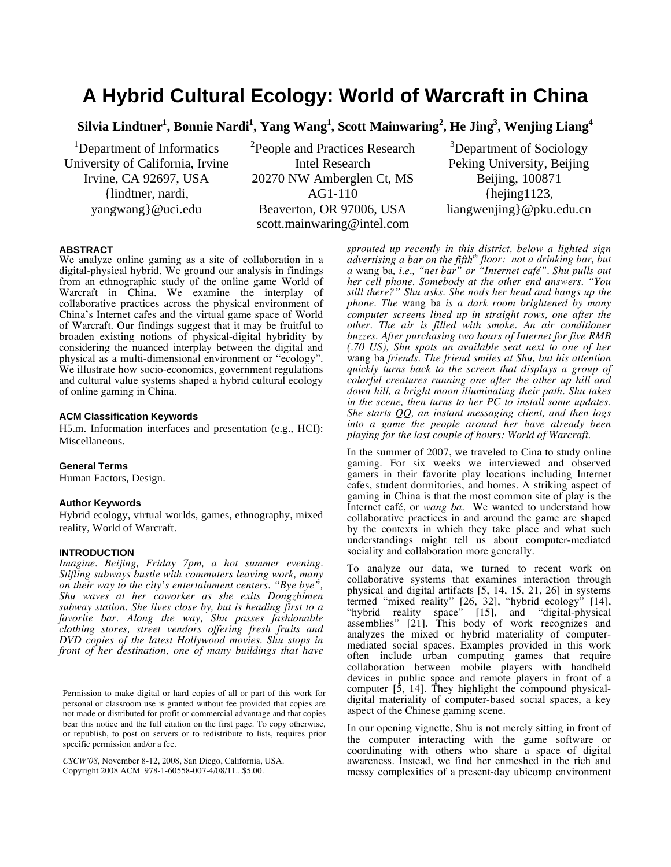# **A Hybrid Cultural Ecology: World of Warcraft in China**

**Silvia Lindtner1 , Bonnie Nardi1 , Yang Wang1 , Scott Mainwaring<sup>2</sup> , He Jing3 , Wenjing Liang4**

1 Department of Informatics University of California, Irvine Irvine, CA 92697, USA {lindtner, nardi, yangwang}@uci.edu

<sup>2</sup>People and Practices Research Intel Research 20270 NW Amberglen Ct, MS AG1-110 Beaverton, OR 97006, USA scott.mainwaring@intel.com

<sup>3</sup>Department of Sociology Peking University, Beijing Beijing, 100871  ${heiing1123}$ , liangwenjing}@pku.edu.cn

## **ABSTRACT**

We analyze online gaming as a site of collaboration in a digital-physical hybrid. We ground our analysis in findings from an ethnographic study of the online game World of Warcraft in China. We examine the interplay of collaborative practices across the physical environment of China's Internet cafes and the virtual game space of World of Warcraft. Our findings suggest that it may be fruitful to broaden existing notions of physical-digital hybridity by considering the nuanced interplay between the digital and physical as a multi-dimensional environment or "ecology". We illustrate how socio-economics, government regulations and cultural value systems shaped a hybrid cultural ecology of online gaming in China.

#### **ACM Classification Keywords**

H5.m. Information interfaces and presentation (e.g., HCI): Miscellaneous.

## **General Terms**

Human Factors, Design.

# **Author Keywords**

Hybrid ecology, virtual worlds, games, ethnography, mixed reality, World of Warcraft.

## **INTRODUCTION**

*Imagine. Beijing, Friday 7pm, a hot summer evening. Stifling subways bustle with commuters leaving work, many on their way to the city's entertainment centers. "Bye bye", Shu waves at her coworker as she exits Dongzhimen subway station. She lives close by, but is heading first to a favorite bar. Along the way, Shu passes fashionable clothing stores, street vendors offering fresh fruits and DVD copies of the latest Hollywood movies. Shu stops in front of her destination, one of many buildings that have* 

Permission to make digital or hard copies of all or part of this work for personal or classroom use is granted without fee provided that copies are not made or distributed for profit or commercial advantage and that copies bear this notice and the full citation on the first page. To copy otherwise, or republish, to post on servers or to redistribute to lists, requires prior specific permission and/or a fee.

*CSCW'08*, November 8-12, 2008, San Diego, California, USA. Copyright 2008 ACM 978-1-60558-007-4/08/11...\$5.00.

*sprouted up recently in this district, below a lighted sign advertising a bar on the fifthth floor: not a drinking bar, but a* wang ba*, i.e., "net bar" or "Internet café". Shu pulls out her cell phone. Somebody at the other end answers. "You still there?" Shu asks. She nods her head and hangs up the phone. The* wang ba *is a dark room brightened by many computer screens lined up in straight rows, one after the other. The air is filled with smoke. An air conditioner buzzes. After purchasing two hours of Internet for five RMB (.70 US), Shu spots an available seat next to one of her*  wang ba *friends. The friend smiles at Shu, but his attention quickly turns back to the screen that displays a group of colorful creatures running one after the other up hill and down hill, a bright moon illuminating their path. Shu takes in the scene, then turns to her PC to install some updates. She starts QQ, an instant messaging client, and then logs into a game the people around her have already been playing for the last couple of hours: World of Warcraft.* 

In the summer of 2007, we traveled to Cina to study online gaming. For six weeks we interviewed and observed gamers in their favorite play locations including Internet cafes, student dormitories, and homes. A striking aspect of gaming in China is that the most common site of play is the Internet café, or *wang ba*. We wanted to understand how collaborative practices in and around the game are shaped by the contexts in which they take place and what such understandings might tell us about computer-mediated sociality and collaboration more generally.

To analyze our data, we turned to recent work on collaborative systems that examines interaction through physical and digital artifacts [5, 14, 15, 21, 26] in systems termed "mixed reality" [26, 32], "hybrid ecology" [14], "hybrid reality space" [15], and "digital-physical assemblies" [21]. This body of work recognizes and analyzes the mixed or hybrid materiality of computermediated social spaces. Examples provided in this work often include urban computing games that require collaboration between mobile players with handheld devices in public space and remote players in front of a computer [5, 14]. They highlight the compound physicaldigital materiality of computer-based social spaces, a key aspect of the Chinese gaming scene.

In our opening vignette, Shu is not merely sitting in front of the computer interacting with the game software or coordinating with others who share a space of digital awareness. Instead, we find her enmeshed in the rich and messy complexities of a present-day ubicomp environment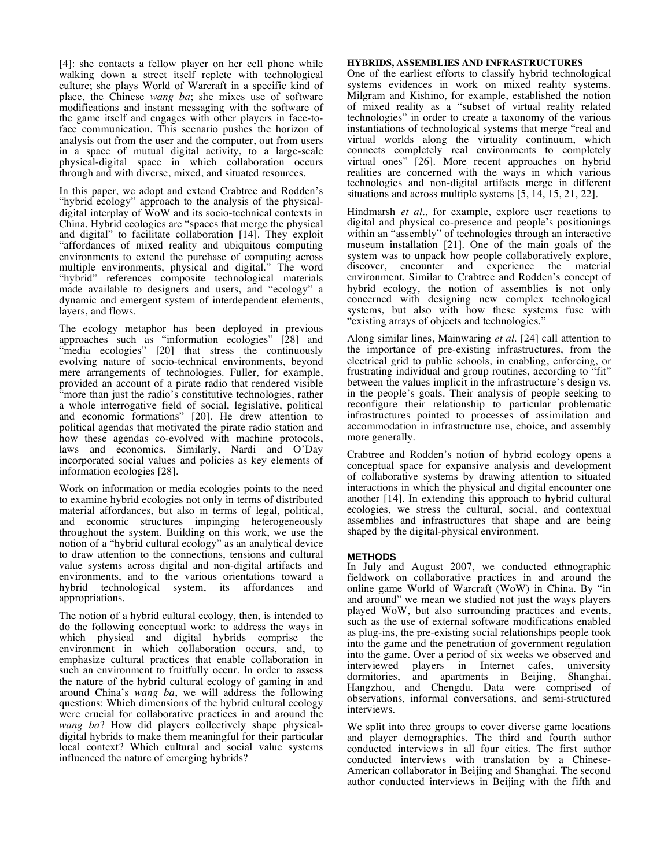[4]: she contacts a fellow player on her cell phone while walking down a street itself replete with technological culture; she plays World of Warcraft in a specific kind of place, the Chinese *wang ba*; she mixes use of software modifications and instant messaging with the software of the game itself and engages with other players in face-toface communication. This scenario pushes the horizon of analysis out from the user and the computer, out from users in a space of mutual digital activity, to a large-scale physical-digital space in which collaboration occurs through and with diverse, mixed, and situated resources.

In this paper, we adopt and extend Crabtree and Rodden's "hybrid ecology" approach to the analysis of the physicaldigital interplay of WoW and its socio-technical contexts in China. Hybrid ecologies are "spaces that merge the physical and digital" to facilitate collaboration [14]. They exploit "affordances of mixed reality and ubiquitous computing environments to extend the purchase of computing across multiple environments, physical and digital." The word "hybrid" references composite technological materials made available to designers and users, and "ecology" a dynamic and emergent system of interdependent elements, layers, and flows.

The ecology metaphor has been deployed in previous approaches such as "information ecologies"  $[28]$  and "media ecologies" [20] that stress the continuously evolving nature of socio-technical environments, beyond mere arrangements of technologies. Fuller, for example, provided an account of a pirate radio that rendered visible "more than just the radio's constitutive technologies, rather a whole interrogative field of social, legislative, political and economic formations" [20]. He drew attention to political agendas that motivated the pirate radio station and how these agendas co-evolved with machine protocols, laws and economics. Similarly, Nardi and O'Day incorporated social values and policies as key elements of information ecologies [28].

Work on information or media ecologies points to the need to examine hybrid ecologies not only in terms of distributed material affordances, but also in terms of legal, political, and economic structures impinging heterogeneously throughout the system. Building on this work, we use the notion of a "hybrid cultural ecology" as an analytical device to draw attention to the connections, tensions and cultural value systems across digital and non-digital artifacts and environments, and to the various orientations toward a hybrid technological system, its affordances and appropriations.

The notion of a hybrid cultural ecology, then, is intended to do the following conceptual work: to address the ways in which physical and digital hybrids comprise the environment in which collaboration occurs, and, to emphasize cultural practices that enable collaboration in such an environment to fruitfully occur. In order to assess the nature of the hybrid cultural ecology of gaming in and around China's *wang ba*, we will address the following questions: Which dimensions of the hybrid cultural ecology were crucial for collaborative practices in and around the *wang ba*? How did players collectively shape physicaldigital hybrids to make them meaningful for their particular local context? Which cultural and social value systems influenced the nature of emerging hybrids?

#### **HYBRIDS, ASSEMBLIES AND INFRASTRUCTURES**

One of the earliest efforts to classify hybrid technological systems evidences in work on mixed reality systems. Milgram and Kishino, for example, established the notion of mixed reality as a "subset of virtual reality related technologies" in order to create a taxonomy of the various instantiations of technological systems that merge "real and virtual worlds along the virtuality continuum, which connects completely real environments to completely virtual ones" [26]. More recent approaches on hybrid realities are concerned with the ways in which various technologies and non-digital artifacts merge in different situations and across multiple systems [5, 14, 15, 21, 22].

Hindmarsh *et al*., for example, explore user reactions to digital and physical co-presence and people's positionings within an "assembly" of technologies through an interactive museum installation [21]. One of the main goals of the system was to unpack how people collaboratively explore, discover, encounter and experience the material environment. Similar to Crabtree and Rodden's concept of hybrid ecology, the notion of assemblies is not only concerned with designing new complex technological systems, but also with how these systems fuse with "existing arrays of objects and technologies."

Along similar lines, Mainwaring *et al*. [24] call attention to the importance of pre-existing infrastructures, from the electrical grid to public schools, in enabling, enforcing, or frustrating individual and group routines, according to "fit" between the values implicit in the infrastructure's design vs. in the people's goals. Their analysis of people seeking to reconfigure their relationship to particular problematic infrastructures pointed to processes of assimilation and accommodation in infrastructure use, choice, and assembly more generally.

Crabtree and Rodden's notion of hybrid ecology opens a conceptual space for expansive analysis and development of collaborative systems by drawing attention to situated interactions in which the physical and digital encounter one another [14]. In extending this approach to hybrid cultural ecologies, we stress the cultural, social, and contextual assemblies and infrastructures that shape and are being shaped by the digital-physical environment.

#### **METHODS**

In July and August 2007, we conducted ethnographic fieldwork on collaborative practices in and around the online game World of Warcraft (WoW) in China. By "in and around" we mean we studied not just the ways players played WoW, but also surrounding practices and events, such as the use of external software modifications enabled as plug-ins, the pre-existing social relationships people took into the game and the penetration of government regulation into the game. Over a period of six weeks we observed and interviewed players in Internet cafes, university<br>dormitories, and apartments in Beiling, Shanghai, and apartments in Beijing, Shanghai, Hangzhou, and Chengdu. Data were comprised of observations, informal conversations, and semi-structured interviews.

We split into three groups to cover diverse game locations and player demographics. The third and fourth author conducted interviews in all four cities. The first author conducted interviews with translation by a Chinese-American collaborator in Beijing and Shanghai. The second author conducted interviews in Beijing with the fifth and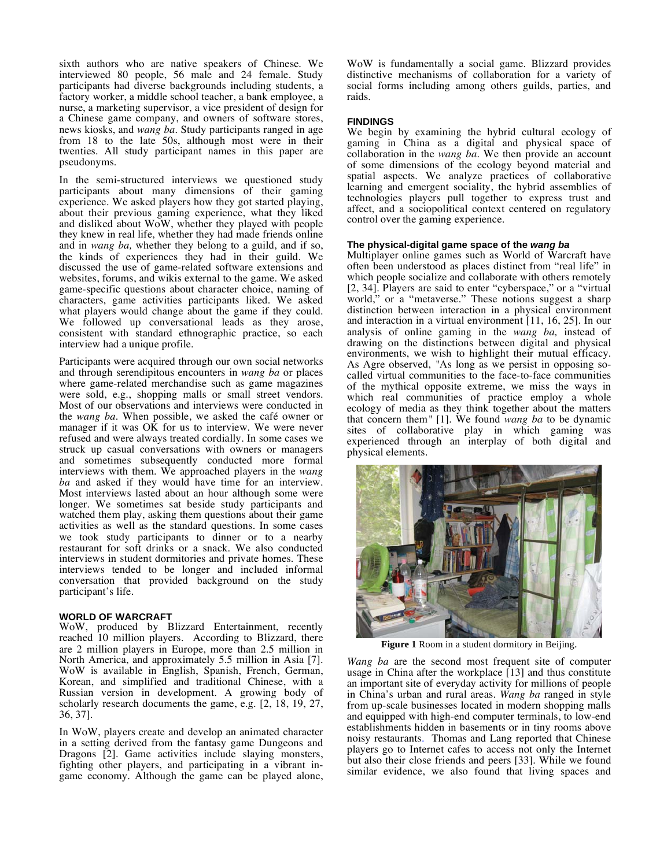sixth authors who are native speakers of Chinese. We interviewed 80 people, 56 male and 24 female. Study participants had diverse backgrounds including students, a factory worker, a middle school teacher, a bank employee, a nurse, a marketing supervisor, a vice president of design for a Chinese game company, and owners of software stores, news kiosks, and *wang ba*. Study participants ranged in age from 18 to the late 50s, although most were in their twenties. All study participant names in this paper are pseudonyms.

In the semi-structured interviews we questioned study participants about many dimensions of their gaming experience. We asked players how they got started playing, about their previous gaming experience, what they liked and disliked about WoW, whether they played with people they knew in real life, whether they had made friends online and in *wang ba,* whether they belong to a guild, and if so, the kinds of experiences they had in their guild. We discussed the use of game-related software extensions and websites, forums, and wikis external to the game. We asked game-specific questions about character choice, naming of characters, game activities participants liked. We asked what players would change about the game if they could. We followed up conversational leads as they arose, consistent with standard ethnographic practice, so each interview had a unique profile.

Participants were acquired through our own social networks and through serendipitous encounters in *wang ba* or places where game-related merchandise such as game magazines were sold, e.g., shopping malls or small street vendors. Most of our observations and interviews were conducted in the *wang ba*. When possible, we asked the café owner or manager if it was  $\overrightarrow{OR}$  for us to interview. We were never refused and were always treated cordially. In some cases we struck up casual conversations with owners or managers and sometimes subsequently conducted more formal interviews with them. We approached players in the *wang ba* and asked if they would have time for an interview. Most interviews lasted about an hour although some were longer. We sometimes sat beside study participants and watched them play, asking them questions about their game activities as well as the standard questions. In some cases we took study participants to dinner or to a nearby restaurant for soft drinks or a snack. We also conducted interviews in student dormitories and private homes. These interviews tended to be longer and included informal conversation that provided background on the study participant's life.

## **WORLD OF WARCRAFT**

WoW, produced by Blizzard Entertainment, recently reached 10 million players. According to Blizzard, there are 2 million players in Europe, more than 2.5 million in North America, and approximately 5.5 million in Asia [7]. WoW is available in English, Spanish, French, German, Korean, and simplified and traditional Chinese, with a Russian version in development. A growing body of scholarly research documents the game, e.g. [2, 18, 19, 27, 36, 37].

In WoW, players create and develop an animated character in a setting derived from the fantasy game Dungeons and Dragons [2]. Game activities include slaying monsters, fighting other players, and participating in a vibrant ingame economy. Although the game can be played alone,

WoW is fundamentally a social game. Blizzard provides distinctive mechanisms of collaboration for a variety of social forms including among others guilds, parties, and raids.

#### **FINDINGS**

We begin by examining the hybrid cultural ecology of gaming in China as a digital and physical space of collaboration in the *wang ba*. We then provide an account of some dimensions of the ecology beyond material and spatial aspects. We analyze practices of collaborative learning and emergent sociality, the hybrid assemblies of technologies players pull together to express trust and affect, and a sociopolitical context centered on regulatory control over the gaming experience.

#### **The physical-digital game space of the** *wang ba*

Multiplayer online games such as World of Warcraft have often been understood as places distinct from "real life" in which people socialize and collaborate with others remotely [2, 34]. Players are said to enter "cyberspace," or a "virtual world," or a "metaverse." These notions suggest a sharp distinction between interaction in a physical environment and interaction in a virtual environment [11, 16, 25]. In our analysis of online gaming in the *wang ba,* instead of drawing on the distinctions between digital and physical environments, we wish to highlight their mutual efficacy. As Agre observed, *"*As long as we persist in opposing socalled virtual communities to the face-to-face communities of the mythical opposite extreme, we miss the ways in which real communities of practice employ a whole ecology of media as they think together about the matters that concern them*"* [1]. We found *wang ba* to be dynamic sites of collaborative play in which gaming was experienced through an interplay of both digital and physical elements.



Figure 1 Room in a student dormitory in Beijing.

*Wang ba* are the second most frequent site of computer usage in China after the workplace [13] and thus constitute an important site of everyday activity for millions of people in China's urban and rural areas. *Wang ba* ranged in style from up-scale businesses located in modern shopping malls and equipped with high-end computer terminals, to low-end establishments hidden in basements or in tiny rooms above noisy restaurants. Thomas and Lang reported that Chinese players go to Internet cafes to access not only the Internet but also their close friends and peers [33]. While we found similar evidence, we also found that living spaces and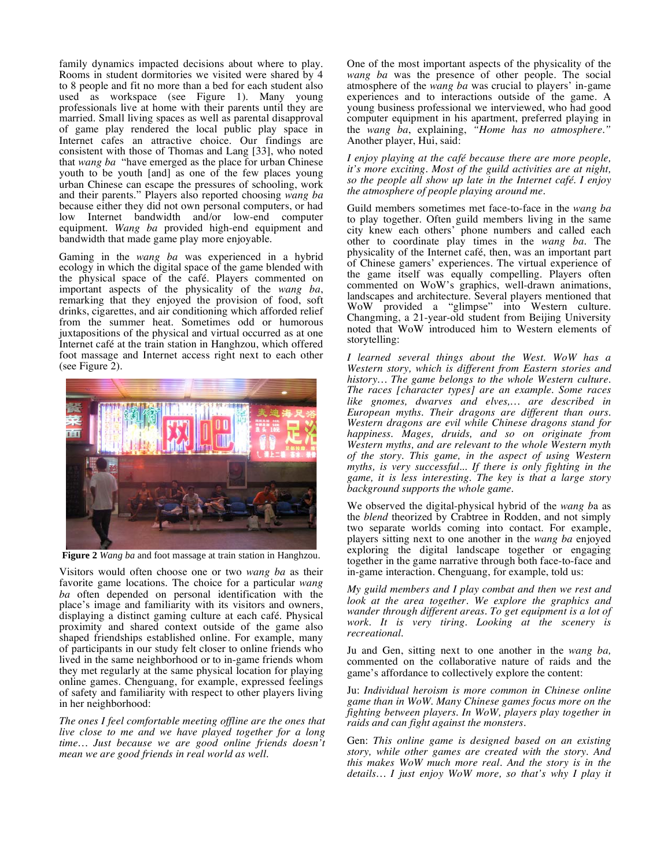family dynamics impacted decisions about where to play. Rooms in student dormitories we visited were shared by 4 to 8 people and fit no more than a bed for each student also used as workspace (see Figure 1). Many young professionals live at home with their parents until they are married. Small living spaces as well as parental disapproval of game play rendered the local public play space in Internet cafes an attractive choice. Our findings are consistent with those of Thomas and Lang [33], who noted that *wang ba* "have emerged as the place for urban Chinese youth to be youth [and] as one of the few places young urban Chinese can escape the pressures of schooling, work and their parents." Players also reported choosing *wang ba* because either they did not own personal computers, or had low Internet bandwidth and/or low-end computer equipment. *Wang ba* provided high-end equipment and bandwidth that made game play more enjoyable.

Gaming in the *wang ba* was experienced in a hybrid ecology in which the digital space of the game blended with the physical space of the café. Players commented on important aspects of the physicality of the *wang ba*, remarking that they enjoyed the provision of food, soft drinks, cigarettes, and air conditioning which afforded relief from the summer heat. Sometimes odd or humorous juxtapositions of the physical and virtual occurred as at one Internet café at the train station in Hanghzou, which offered foot massage and Internet access right next to each other (see Figure 2).



**Figure 2** *Wang ba* and foot massage at train station in Hanghzou.

Visitors would often choose one or two *wang ba* as their favorite game locations. The choice for a particular *wang ba* often depended on personal identification with the place's image and familiarity with its visitors and owners, displaying a distinct gaming culture at each café. Physical proximity and shared context outside of the game also shaped friendships established online. For example, many of participants in our study felt closer to online friends who lived in the same neighborhood or to in-game friends whom they met regularly at the same physical location for playing online games. Chenguang, for example, expressed feelings of safety and familiarity with respect to other players living in her neighborhood:

*The ones I feel comfortable meeting offline are the ones that live close to me and we have played together for a long time… Just because we are good online friends doesn't mean we are good friends in real world as well.* 

One of the most important aspects of the physicality of the *wang ba* was the presence of other people. The social atmosphere of the *wang ba* was crucial to players' in-game experiences and to interactions outside of the game. A young business professional we interviewed, who had good computer equipment in his apartment, preferred playing in the *wang ba*, explaining, *"Home has no atmosphere."* Another player, Hui, said:

*I enjoy playing at the café because there are more people, it's more exciting. Most of the guild activities are at night, so the people all show up late in the Internet café. I enjoy the atmosphere of people playing around me.* 

Guild members sometimes met face-to-face in the *wang ba* to play together. Often guild members living in the same city knew each others' phone numbers and called each other to coordinate play times in the *wang ba.* The physicality of the Internet café, then, was an important part of Chinese gamers' experiences. The virtual experience of the game itself was equally compelling. Players often commented on WoW's graphics, well-drawn animations, landscapes and architecture. Several players mentioned that WoW provided a "glimpse" into Western culture. Changming, a 21-year-old student from Beijing University noted that WoW introduced him to Western elements of storytelling:

*I learned several things about the West. WoW has a Western story, which is different from Eastern stories and history… The game belongs to the whole Western culture. The races [character types] are an example. Some races like gnomes, dwarves and elves,… are described in European myths. Their dragons are different than ours. Western dragons are evil while Chinese dragons stand for happiness. Mages, druids, and so on originate from Western myths, and are relevant to the whole Western myth of the story. This game, in the aspect of using Western myths, is very successful... If there is only fighting in the game, it is less interesting. The key is that a large story background supports the whole game.* 

We observed the digital-physical hybrid of the *wang b*a as the *blend* theorized by Crabtree in Rodden, and not simply two separate worlds coming into contact. For example, players sitting next to one another in the *wang ba* enjoyed exploring the digital landscape together or engaging together in the game narrative through both face-to-face and in-game interaction. Chenguang, for example, told us:

*My guild members and I play combat and then we rest and look at the area together. We explore the graphics and wander through different areas. To get equipment is a lot of work. It is very tiring. Looking at the scenery is recreational*.

Ju and Gen, sitting next to one another in the *wang ba,*  commented on the collaborative nature of raids and the game's affordance to collectively explore the content:

Ju: *Individual heroism is more common in Chinese online game than in WoW. Many Chinese games focus more on the fighting between players. In WoW, players play together in raids and can fight against the monsters*.

Gen: *This online game is designed based on an existing story, while other games are created with the story. And this makes WoW much more real. And the story is in the details… I just enjoy WoW more, so that's why I play it*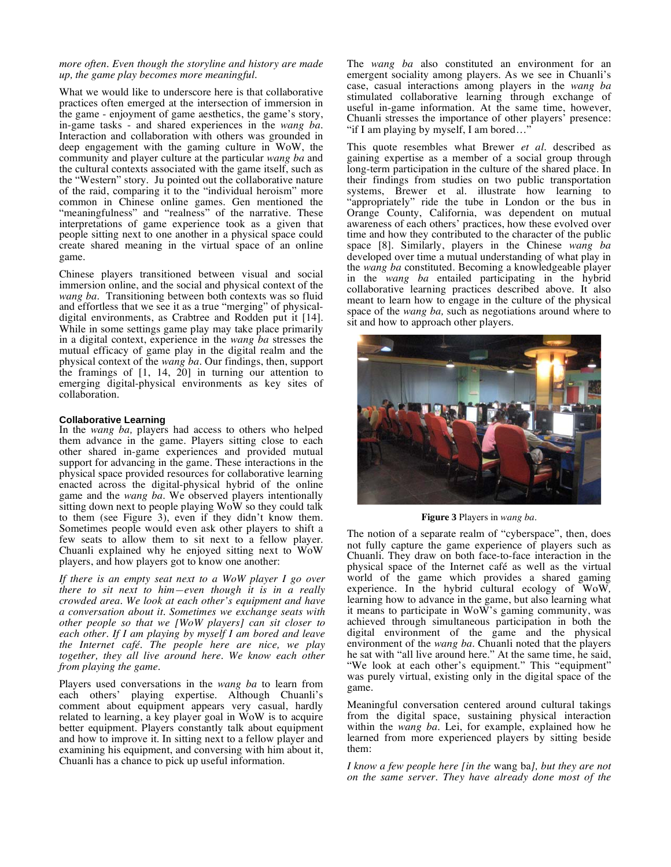#### *more often. Even though the storyline and history are made up, the game play becomes more meaningful*.

What we would like to underscore here is that collaborative practices often emerged at the intersection of immersion in the game - enjoyment of game aesthetics, the game's story, in-game tasks - and shared experiences in the *wang ba*. Interaction and collaboration with others was grounded in deep engagement with the gaming culture in WoW, the community and player culture at the particular *wang ba* and the cultural contexts associated with the game itself, such as the "Western" story. Ju pointed out the collaborative nature of the raid, comparing it to the "individual heroism" more common in Chinese online games. Gen mentioned the "meaningfulness" and "realness" of the narrative. These interpretations of game experience took as a given that people sitting next to one another in a physical space could create shared meaning in the virtual space of an online game.

Chinese players transitioned between visual and social immersion online, and the social and physical context of the *wang ba*. Transitioning between both contexts was so fluid and effortless that we see it as a true "merging" of physicaldigital environments, as Crabtree and Rodden put it [14]. While in some settings game play may take place primarily in a digital context, experience in the *wang ba* stresses the mutual efficacy of game play in the digital realm and the physical context of the *wang ba*. Our findings, then, support the framings of [1, 14, 20] in turning our attention to emerging digital-physical environments as key sites of collaboration.

# **Collaborative Learning**

In the *wang ba,* players had access to others who helped them advance in the game. Players sitting close to each other shared in-game experiences and provided mutual support for advancing in the game. These interactions in the physical space provided resources for collaborative learning enacted across the digital-physical hybrid of the online game and the *wang ba*. We observed players intentionally sitting down next to people playing  $Wo\bar{W}$  so they could talk to them (see Figure 3), even if they didn't know them. Sometimes people would even ask other players to shift a few seats to allow them to sit next to a fellow player. Chuanli explained why he enjoyed sitting next to WoW players, and how players got to know one another:

*If there is an empty seat next to a WoW player I go over there to sit next to him—even though it is in a really crowded area. We look at each other's equipment and have a conversation about it. Sometimes we exchange seats with other people so that we [WoW players] can sit closer to each other. If I am playing by myself I am bored and leave the Internet café. The people here are nice, we play together, they all live around here. We know each other from playing the game.*

Players used conversations in the *wang ba* to learn from each others' playing expertise. Although Chuanli's comment about equipment appears very casual, hardly related to learning, a key player goal in WoW is to acquire better equipment. Players constantly talk about equipment and how to improve it. In sitting next to a fellow player and examining his equipment, and conversing with him about it, Chuanli has a chance to pick up useful information.

The *wang ba* also constituted an environment for an emergent sociality among players. As we see in Chuanli's case, casual interactions among players in the *wang ba*  stimulated collaborative learning through exchange of useful in-game information. At the same time, however, Chuanli stresses the importance of other players' presence: "if I am playing by myself, I am bored…"

This quote resembles what Brewer *et al.* described as gaining expertise as a member of a social group through long-term participation in the culture of the shared place. In their findings from studies on two public transportation systems, Brewer et al. illustrate how learning to "appropriately" ride the tube in London or the bus in Orange County, California, was dependent on mutual awareness of each others' practices, how these evolved over time and how they contributed to the character of the public space [8]. Similarly, players in the Chinese *wang ba*  developed over time a mutual understanding of what play in the *wang ba* constituted. Becoming a knowledgeable player in the *wang ba* entailed participating in the hybrid collaborative learning practices described above. It also meant to learn how to engage in the culture of the physical space of the *wang ba,* such as negotiations around where to sit and how to approach other players.



**Figure 3** Players in *wang ba.*

The notion of a separate realm of "cyberspace", then, does not fully capture the game experience of players such as Chuanli. They draw on both face-to-face interaction in the physical space of the Internet café as well as the virtual world of the game which provides a shared gaming experience. In the hybrid cultural ecology of WoW*,* learning how to advance in the game, but also learning what it means to participate in WoW's gaming community, was achieved through simultaneous participation in both the digital environment of the game and the physical environment of the *wang ba*. Chuanli noted that the players he sat with "all live around here." At the same time, he said, "We look at each other's equipment." This "equipment" was purely virtual, existing only in the digital space of the game.

Meaningful conversation centered around cultural takings from the digital space, sustaining physical interaction within the *wang ba.* Lei, for example, explained how he learned from more experienced players by sitting beside them:

*I know a few people here [in the* wang ba*], but they are not on the same server. They have already done most of the*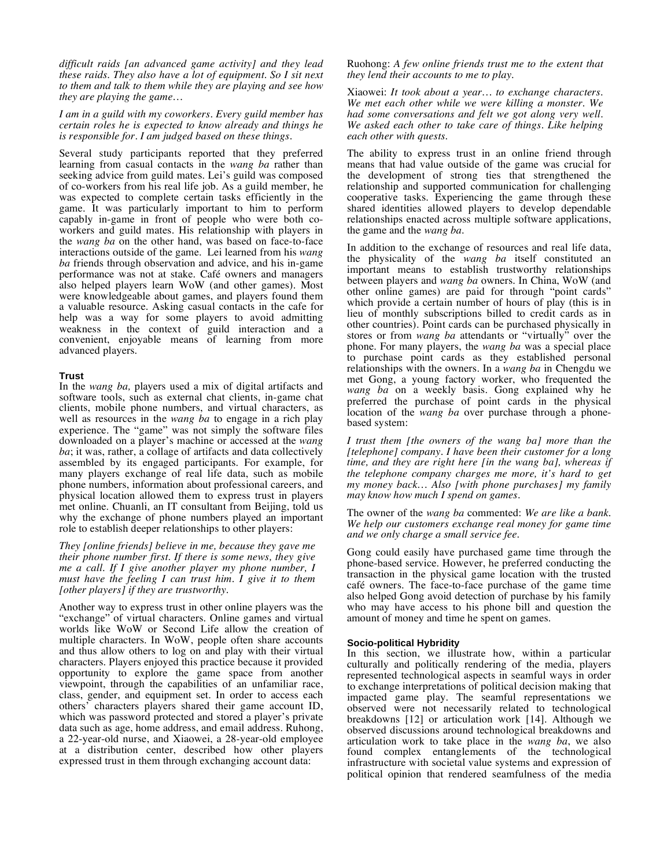*difficult raids [an advanced game activity] and they lead these raids. They also have a lot of equipment. So I sit next to them and talk to them while they are playing and see how they are playing the game…* 

*I am in a guild with my coworkers. Every guild member has certain roles he is expected to know already and things he is responsible for. I am judged based on these things.* 

Several study participants reported that they preferred learning from casual contacts in the *wang ba* rather than seeking advice from guild mates. Lei's guild was composed of co-workers from his real life job. As a guild member, he was expected to complete certain tasks efficiently in the game. It was particularly important to him to perform capably in-game in front of people who were both coworkers and guild mates. His relationship with players in the *wang ba* on the other hand, was based on face-to-face interactions outside of the game. Lei learned from his *wang ba* friends through observation and advice, and his in-game performance was not at stake. Café owners and managers also helped players learn WoW (and other games). Most were knowledgeable about games, and players found them a valuable resource. Asking casual contacts in the cafe for help was a way for some players to avoid admitting weakness in the context of guild interaction and a convenient, enjoyable means of learning from more advanced players.

# **Trust**

In the *wang ba,* players used a mix of digital artifacts and software tools, such as external chat clients, in-game chat clients, mobile phone numbers, and virtual characters, as well as resources in the *wang ba* to engage in a rich play experience. The "game" was not simply the software files downloaded on a player's machine or accessed at the *wang ba*; it was, rather, a collage of artifacts and data collectively assembled by its engaged participants. For example, for many players exchange of real life data, such as mobile phone numbers, information about professional careers, and physical location allowed them to express trust in players met online. Chuanli, an IT consultant from Beijing, told us why the exchange of phone numbers played an important role to establish deeper relationships to other players:

*They [online friends] believe in me, because they gave me their phone number first. If there is some news, they give me a call. If I give another player my phone number, I must have the feeling I can trust him. I give it to them [other players] if they are trustworthy.* 

Another way to express trust in other online players was the "exchange" of virtual characters. Online games and virtual worlds like WoW or Second Life allow the creation of multiple characters. In WoW, people often share accounts and thus allow others to log on and play with their virtual characters. Players enjoyed this practice because it provided opportunity to explore the game space from another viewpoint, through the capabilities of an unfamiliar race, class, gender, and equipment set. In order to access each others' characters players shared their game account ID, which was password protected and stored a player's private data such as age, home address, and email address. Ruhong, a 22-year-old nurse, and Xiaowei, a 28-year-old employee at a distribution center, described how other players expressed trust in them through exchanging account data:

Ruohong: *A few online friends trust me to the extent that they lend their accounts to me to play.* 

Xiaowei: *It took about a year… to exchange characters. We met each other while we were killing a monster. We had some conversations and felt we got along very well. We asked each other to take care of things. Like helping each other with quests.* 

The ability to express trust in an online friend through means that had value outside of the game was crucial for the development of strong ties that strengthened the relationship and supported communication for challenging cooperative tasks. Experiencing the game through these shared identities allowed players to develop dependable relationships enacted across multiple software applications, the game and the *wang ba*.

In addition to the exchange of resources and real life data, the physicality of the *wang ba* itself constituted an important means to establish trustworthy relationships between players and *wang ba* owners. In China, WoW (and other online games) are paid for through "point cards" which provide a certain number of hours of play (this is in lieu of monthly subscriptions billed to credit cards as in other countries). Point cards can be purchased physically in stores or from *wang ba* attendants or "virtually" over the phone. For many players, the *wang ba* was a special place to purchase point cards as they established personal relationships with the owners. In a *wang ba* in Chengdu we met Gong, a young factory worker, who frequented the *wang ba* on a weekly basis. Gong explained why he preferred the purchase of point cards in the physical location of the *wang ba* over purchase through a phonebased system:

*I trust them [the owners of the wang ba] more than the [telephone] company. I have been their customer for a long time, and they are right here [in the wang ba], whereas if the telephone company charges me more, it's hard to get my money back… Also [with phone purchases] my family may know how much I spend on games.*

The owner of the *wang ba* commented: *We are like a bank. We help our customers exchange real money for game time and we only charge a small service fee.*

Gong could easily have purchased game time through the phone-based service. However, he preferred conducting the transaction in the physical game location with the trusted café owners. The face-to-face purchase of the game time also helped Gong avoid detection of purchase by his family who may have access to his phone bill and question the amount of money and time he spent on games.

#### **Socio-political Hybridity**

In this section, we illustrate how, within a particular culturally and politically rendering of the media, players represented technological aspects in seamful ways in order to exchange interpretations of political decision making that impacted game play. The seamful representations we observed were not necessarily related to technological breakdowns [12] or articulation work [14]. Although we observed discussions around technological breakdowns and articulation work to take place in the *wang ba*, we also found complex entanglements of the technological infrastructure with societal value systems and expression of political opinion that rendered seamfulness of the media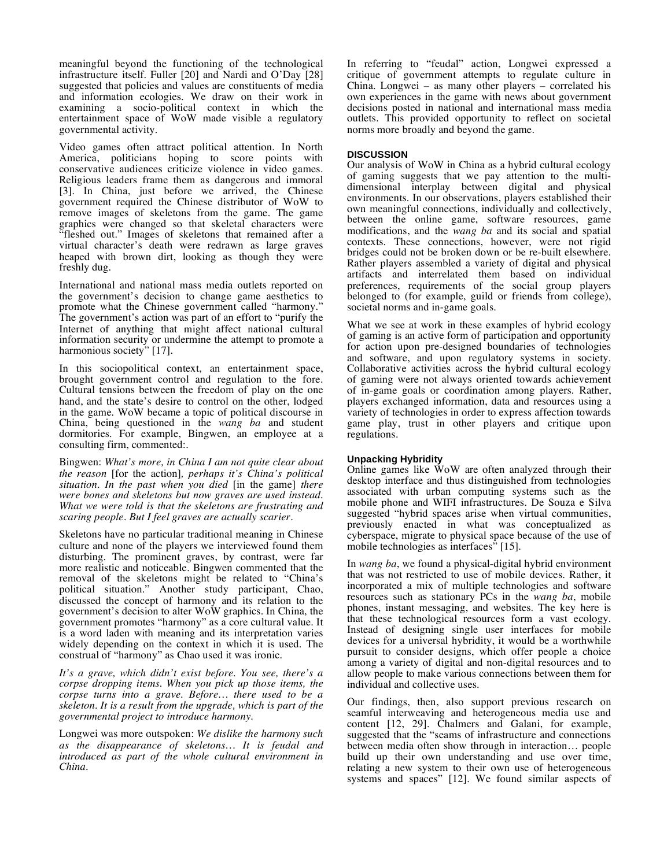meaningful beyond the functioning of the technological infrastructure itself. Fuller [20] and Nardi and O'Day [28] suggested that policies and values are constituents of media and information ecologies. We draw on their work in examining a socio-political context in which the entertainment space of WoW made visible a regulatory governmental activity.

Video games often attract political attention. In North America, politicians hoping to score points with conservative audiences criticize violence in video games. Religious leaders frame them as dangerous and immoral [3]. In China, just before we arrived, the Chinese government required the Chinese distributor of WoW to remove images of skeletons from the game. The game graphics were changed so that skeletal characters were "fleshed out." Images of skeletons that remained after a virtual character's death were redrawn as large graves heaped with brown dirt, looking as though they were freshly dug.

International and national mass media outlets reported on the government's decision to change game aesthetics to promote what the Chinese government called "harmony." The government's action was part of an effort to "purify the Internet of anything that might affect national cultural information security or undermine the attempt to promote a harmonious society" [17].

In this sociopolitical context, an entertainment space, brought government control and regulation to the fore. Cultural tensions between the freedom of play on the one hand, and the state's desire to control on the other, lodged in the game. WoW became a topic of political discourse in China, being questioned in the *wang ba* and student dormitories. For example, Bingwen, an employee at a consulting firm, commented:.

Bingwen: *What's more, in China I am not quite clear about the reason* [for the action]*, perhaps it's China's political situation. In the past when you died* [in the game] *there were bones and skeletons but now graves are used instead. What we were told is that the skeletons are frustrating and scaring people. But I feel graves are actually scarier.* 

Skeletons have no particular traditional meaning in Chinese culture and none of the players we interviewed found them disturbing. The prominent graves, by contrast, were far more realistic and noticeable. Bingwen commented that the removal of the skeletons might be related to "China's political situation." Another study participant, Chao, discussed the concept of harmony and its relation to the government's decision to alter WoW graphics. In China, the government promotes "harmony" as a core cultural value. It is a word laden with meaning and its interpretation varies widely depending on the context in which it is used. The construal of "harmony" as Chao used it was ironic.

*It's a grave, which didn't exist before. You see, there's a corpse dropping items. When you pick up those items, the corpse turns into a grave. Before… there used to be a skeleton. It is a result from the upgrade, which is part of the governmental project to introduce harmony.* 

Longwei was more outspoken: *We dislike the harmony such as the disappearance of skeletons… It is feudal and introduced as part of the whole cultural environment in China.* 

In referring to "feudal" action, Longwei expressed a critique of government attempts to regulate culture in China. Longwei – as many other players – correlated his own experiences in the game with news about government decisions posted in national and international mass media outlets. This provided opportunity to reflect on societal norms more broadly and beyond the game.

## **DISCUSSION**

Our analysis of WoW in China as a hybrid cultural ecology of gaming suggests that we pay attention to the multidimensional interplay between digital and physical environments. In our observations, players established their own meaningful connections, individually and collectively, between the online game, software resources, game modifications, and the *wang ba* and its social and spatial contexts. These connections, however, were not rigid bridges could not be broken down or be re-built elsewhere. Rather players assembled a variety of digital and physical artifacts and interrelated them based on individual preferences, requirements of the social group players belonged to (for example, guild or friends from college), societal norms and in-game goals.

What we see at work in these examples of hybrid ecology of gaming is an active form of participation and opportunity for action upon pre-designed boundaries of technologies and software, and upon regulatory systems in society. Collaborative activities across the hybrid cultural ecology of gaming were not always oriented towards achievement of in-game goals or coordination among players. Rather, players exchanged information, data and resources using a variety of technologies in order to express affection towards game play, trust in other players and critique upon regulations.

# **Unpacking Hybridity**

Online games like WoW are often analyzed through their desktop interface and thus distinguished from technologies associated with urban computing systems such as the mobile phone and WIFI infrastructures. De Souza e Silva suggested "hybrid spaces arise when virtual communities, previously enacted in what was conceptualized as cyberspace, migrate to physical space because of the use of mobile technologies as interfaces<sup>"</sup> [15].

In *wang ba*, we found a physical-digital hybrid environment that was not restricted to use of mobile devices. Rather, it incorporated a mix of multiple technologies and software resources such as stationary PCs in the *wang ba*, mobile phones, instant messaging, and websites. The key here is that these technological resources form a vast ecology. Instead of designing single user interfaces for mobile devices for a universal hybridity, it would be a worthwhile pursuit to consider designs, which offer people a choice among a variety of digital and non-digital resources and to allow people to make various connections between them for individual and collective uses.

Our findings, then, also support previous research on seamful interweaving and heterogeneous media use and content [12, 29]. Chalmers and Galani, for example, suggested that the "seams of infrastructure and connections between media often show through in interaction… people build up their own understanding and use over time, relating a new system to their own use of heterogeneous systems and spaces" [12]. We found similar aspects of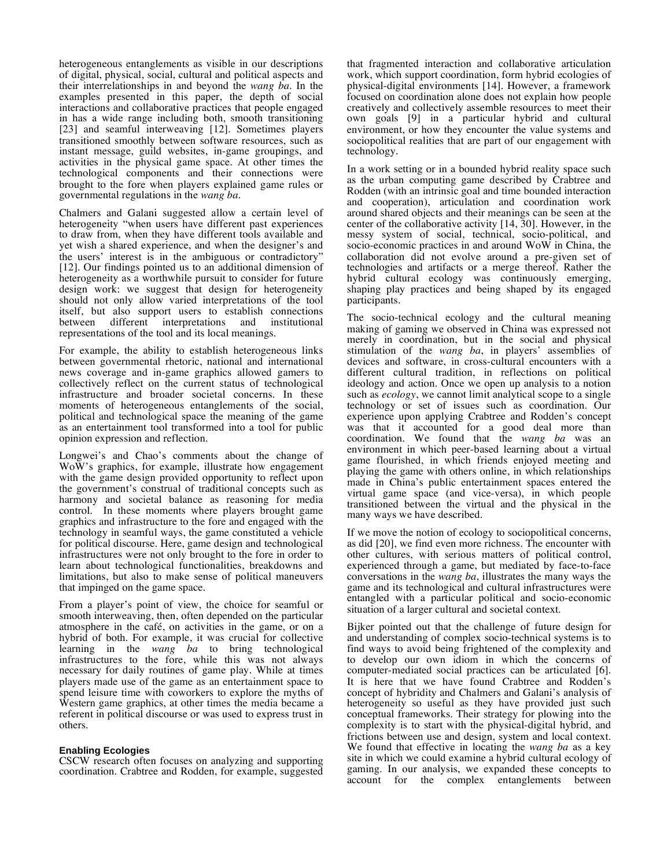heterogeneous entanglements as visible in our descriptions of digital, physical, social, cultural and political aspects and their interrelationships in and beyond the *wang ba.* In the examples presented in this paper, the depth of social interactions and collaborative practices that people engaged in has a wide range including both, smooth transitioning [23] and seamful interweaving [12]. Sometimes players transitioned smoothly between software resources, such as instant message, guild websites, in-game groupings, and activities in the physical game space*.* At other times the technological components and their connections were brought to the fore when players explained game rules or governmental regulations in the *wang ba*.

Chalmers and Galani suggested allow a certain level of heterogeneity "when users have different past experiences to draw from, when they have different tools available and yet wish a shared experience, and when the designer's and the users' interest is in the ambiguous or contradictory" [12]. Our findings pointed us to an additional dimension of heterogeneity as a worthwhile pursuit to consider for future design work: we suggest that design for heterogeneity should not only allow varied interpretations of the tool itself, but also support users to establish connections between different interpretations and institutional representations of the tool and its local meanings.

For example, the ability to establish heterogeneous links between governmental rhetoric, national and international news coverage and in-game graphics allowed gamers to collectively reflect on the current status of technological infrastructure and broader societal concerns. In these moments of heterogeneous entanglements of the social, political and technological space the meaning of the game as an entertainment tool transformed into a tool for public opinion expression and reflection.

Longwei's and Chao's comments about the change of WoW's graphics, for example, illustrate how engagement with the game design provided opportunity to reflect upon the government's construal of traditional concepts such as harmony and societal balance as reasoning for media control. In these moments where players brought game graphics and infrastructure to the fore and engaged with the technology in seamful ways, the game constituted a vehicle for political discourse. Here, game design and technological infrastructures were not only brought to the fore in order to learn about technological functionalities, breakdowns and limitations, but also to make sense of political maneuvers that impinged on the game space.

From a player's point of view, the choice for seamful or smooth interweaving, then, often depended on the particular atmosphere in the café, on activities in the game, or on a hybrid of both. For example, it was crucial for collective learning in the *wang ba* to bring technological infrastructures to the fore, while this was not always necessary for daily routines of game play. While at times players made use of the game as an entertainment space to spend leisure time with coworkers to explore the myths of Western game graphics, at other times the media became a referent in political discourse or was used to express trust in others.

# **Enabling Ecologies**

CSCW research often focuses on analyzing and supporting coordination. Crabtree and Rodden, for example, suggested that fragmented interaction and collaborative articulation work, which support coordination, form hybrid ecologies of physical-digital environments [14]. However, a framework focused on coordination alone does not explain how people creatively and collectively assemble resources to meet their own goals [9] in a particular hybrid and cultural environment, or how they encounter the value systems and sociopolitical realities that are part of our engagement with technology.

In a work setting or in a bounded hybrid reality space such as the urban computing game described by Crabtree and Rodden (with an intrinsic goal and time bounded interaction and cooperation), articulation and coordination work around shared objects and their meanings can be seen at the center of the collaborative activity [14, 30]. However, in the messy system of social, technical, socio-political, and socio-economic practices in and around WoW in China, the collaboration did not evolve around a pre-given set of technologies and artifacts or a merge thereof. Rather the hybrid cultural ecology was continuously emerging, shaping play practices and being shaped by its engaged participants.

The socio-technical ecology and the cultural meaning making of gaming we observed in China was expressed not merely in coordination, but in the social and physical stimulation of the *wang ba*, in players' assemblies of devices and software, in cross-cultural encounters with a different cultural tradition, in reflections on political ideology and action. Once we open up analysis to a notion such as *ecology*, we cannot limit analytical scope to a single technology or set of issues such as coordination. Our experience upon applying Crabtree and Rodden's concept was that it accounted for a good deal more than coordination. We found that the *wang ba* was an environment in which peer-based learning about a virtual game flourished, in which friends enjoyed meeting and playing the game with others online, in which relationships made in China's public entertainment spaces entered the virtual game space (and vice-versa), in which people transitioned between the virtual and the physical in the many ways we have described.

If we move the notion of ecology to sociopolitical concerns, as did [20], we find even more richness. The encounter with other cultures, with serious matters of political control, experienced through a game, but mediated by face-to-face conversations in the *wang ba*, illustrates the many ways the game and its technological and cultural infrastructures were entangled with a particular political and socio-economic situation of a larger cultural and societal context.

Bijker pointed out that the challenge of future design for and understanding of complex socio-technical systems is to find ways to avoid being frightened of the complexity and to develop our own idiom in which the concerns of computer-mediated social practices can be articulated [6]. It is here that we have found Crabtree and Rodden's concept of hybridity and Chalmers and Galani's analysis of heterogeneity so useful as they have provided just such conceptual frameworks. Their strategy for plowing into the complexity is to start with the physical-digital hybrid, and frictions between use and design, system and local context. We found that effective in locating the *wang ba* as a key site in which we could examine a hybrid cultural ecology of gaming. In our analysis, we expanded these concepts to account for the complex entanglements between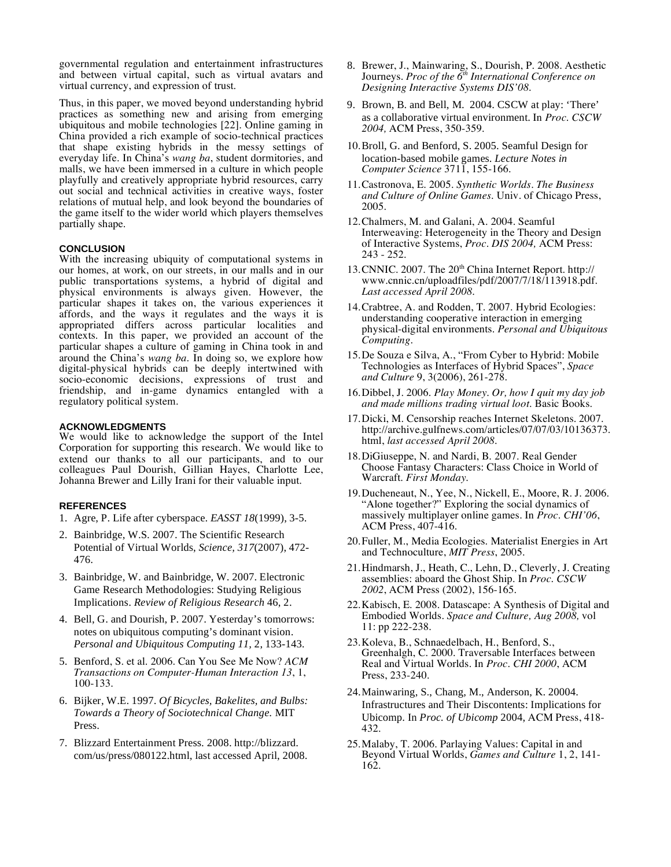governmental regulation and entertainment infrastructures and between virtual capital, such as virtual avatars and virtual currency, and expression of trust.

Thus, in this paper, we moved beyond understanding hybrid practices as something new and arising from emerging ubiquitous and mobile technologies [22]. Online gaming in China provided a rich example of socio-technical practices that shape existing hybrids in the messy settings of everyday life. In China's *wang ba*, student dormitories, and malls, we have been immersed in a culture in which people playfully and creatively appropriate hybrid resources, carry out social and technical activities in creative ways, foster relations of mutual help, and look beyond the boundaries of the game itself to the wider world which players themselves partially shape.

#### **CONCLUSION**

With the increasing ubiquity of computational systems in our homes, at work, on our streets, in our malls and in our public transportations systems, a hybrid of digital and physical environments is always given. However, the particular shapes it takes on, the various experiences it affords, and the ways it regulates and the ways it is appropriated differs across particular localities and contexts. In this paper, we provided an account of the particular shapes a culture of gaming in China took in and around the China's *wang ba.* In doing so, we explore how digital-physical hybrids can be deeply intertwined with socio-economic decisions, expressions of trust and friendship, and in-game dynamics entangled with a regulatory political system.

#### **ACKNOWLEDGMENTS**

We would like to acknowledge the support of the Intel Corporation for supporting this research. We would like to extend our thanks to all our participants, and to our colleagues Paul Dourish, Gillian Hayes, Charlotte Lee, Johanna Brewer and Lilly Irani for their valuable input.

# **REFERENCES**

- 1. Agre, P. Life after cyberspace. *EASST 18*(1999), 3-5.
- 2. Bainbridge, W.S. 2007. The Scientific Research Potential of Virtual Worlds, *Science, 317*(2007), 472- 476.
- 3. Bainbridge, W. and Bainbridge, W. 2007. Electronic Game Research Methodologies: Studying Religious Implications. *Review of Religious Research* 46, 2.
- 4. Bell, G. and Dourish, P. 2007. Yesterday's tomorrows: notes on ubiquitous computing's dominant vision. *Personal and Ubiquitous Computing 11,* 2, 133-143*.*
- 5. Benford, S. et al. 2006. Can You See Me Now? *ACM Transactions on Computer-Human Interaction 13*, 1, 100-133.
- 6. Bijker, W.E. 1997. *Of Bicycles, Bakelites, and Bulbs: Towards a Theory of Sociotechnical Change*. MIT Press.
- 7. Blizzard Entertainment Press. 2008. http://blizzard. com/us/press/080122.html, last accessed April, 2008.
- 8. Brewer, J., Mainwaring, S., Dourish, P. 2008. Aesthetic Journeys. *Proc of the 6th International Conference on Designing Interactive Systems DIS'08*.
- 9. Brown, B. and Bell, M. 2004. CSCW at play: 'There' as a collaborative virtual environment. In *Proc. CSCW 2004,* ACM Press, 350-359.
- 10.Broll, G. and Benford, S. 2005. Seamful Design for location-based mobile games. *Lecture Notes in Computer Science* 3711, 155-166.
- 11.Castronova, E. 2005. *Synthetic Worlds. The Business and Culture of Online Games.* Univ. of Chicago Press, 2005.
- 12.Chalmers, M. and Galani, A. 2004. Seamful Interweaving: Heterogeneity in the Theory and Design of Interactive Systems, *Proc. DIS 2004,* ACM Press: 243 - 252.
- 13.CNNIC. 2007. The 20<sup>th</sup> China Internet Report. http:// www.cnnic.cn/uploadfiles/pdf/2007/7/18/113918.pdf. *Last accessed April 2008.*
- 14.Crabtree, A. and Rodden, T. 2007. Hybrid Ecologies: understanding cooperative interaction in emerging physical-digital environments. *Personal and Ubiquitous Computing*.
- 15.De Souza e Silva, A., "From Cyber to Hybrid: Mobile Technologies as Interfaces of Hybrid Spaces", *Space and Culture* 9, 3(2006), 261-278.
- 16.Dibbel, J. 2006. *Play Money. Or, how I quit my day job and made millions trading virtual loot*. Basic Books.
- 17.Dicki, M. Censorship reaches Internet Skeletons. 2007. http://archive.gulfnews.com/articles/07/07/03/10136373. html, *last accessed April 2008.*
- 18.DiGiuseppe, N. and Nardi, B. 2007. Real Gender Choose Fantasy Characters: Class Choice in World of Warcraft. *First Monday*.
- 19.Ducheneaut, N., Yee, N., Nickell, E., Moore, R. J. 2006. "Alone together?" Exploring the social dynamics of massively multiplayer online games. In *Proc. CHI'06*, ACM Press, 407-416.
- 20.Fuller, M., Media Ecologies. Materialist Energies in Art and Technoculture, *MIT Press*, 2005.
- 21.Hindmarsh, J., Heath, C., Lehn, D., Cleverly, J. Creating assemblies: aboard the Ghost Ship. In *Proc. CSCW 2002*, ACM Press (2002), 156-165.
- 22.Kabisch, E. 2008. Datascape: A Synthesis of Digital and Embodied Worlds. *Space and Culture, Aug 2008,* vol 11: pp 222-238.
- 23.Koleva, B., Schnaedelbach, H., Benford, S., Greenhalgh, C. 2000. Traversable Interfaces between Real and Virtual Worlds. In *Proc. CHI 2000*, ACM Press, 233-240.
- 24.Mainwaring, S., Chang, M., Anderson, K. 20004. Infrastructures and Their Discontents: Implications for Ubicomp. In *Proc. of Ubicomp* 2004, ACM Press, 418- 432.
- 25.Malaby, T. 2006. Parlaying Values: Capital in and Beyond Virtual Worlds, *Games and Culture* 1, 2, 141- 162.